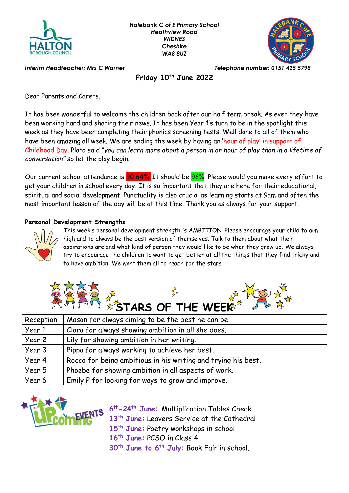



*Interim Headteacher: Mrs C Warner Telephone number: 0151 425 5798*

**Friday 10th June 2022**

Dear Parents and Carers,

It has been wonderful to welcome the children back after our half term break. As ever they have been working hard and sharing their news. It has been Year 1's turn to be in the spotlight this week as they have been completing their phonics screening tests. Well done to all of them who have been amazing all week. We are ending the week by having an 'hour of play' in support of Childhood Day. Plato said "*you can learn more about a person in an hour of play than in a lifetime of conversation"* so let the play begin.

Our current school attendance is **90.64%**. It should be **96%**. Please would you make every effort to get your children in school every day. It is so important that they are here for their educational, spiritual and social development. Punctuality is also crucial as learning starts at 9am and often the most important lesson of the day will be at this time. Thank you as always for your support.

## **Personal Development Strengths**



This week's personal development strength is AMBITION. Please encourage your child to aim high and to always be the best version of themselves. Talk to them about what their aspirations are and what kind of person they would like to be when they grow up. We always try to encourage the children to want to get better at all the things that they find tricky and to have ambition. We want them all to reach for the stars!



| Reception | Mason for always aiming to be the best he can be.             |
|-----------|---------------------------------------------------------------|
| Year 1    | Clara for always showing ambition in all she does.            |
| Year 2    | Lily for showing ambition in her writing.                     |
| Year 3    | Pippa for always working to achieve her best.                 |
| Year 4    | Rocco for being ambitious in his writing and trying his best. |
| Year 5    | Phoebe for showing ambition in all aspects of work.           |
| Year 6    | Emily P for looking for ways to grow and improve.             |



 **th-24th June:** Multiplication Tables Check **th June:** Leavers Service at the Cathedral **th June:** Poetry workshops in school **th June:** PCSO in Class 4

**30th June to 6th July:** Book Fair in school.